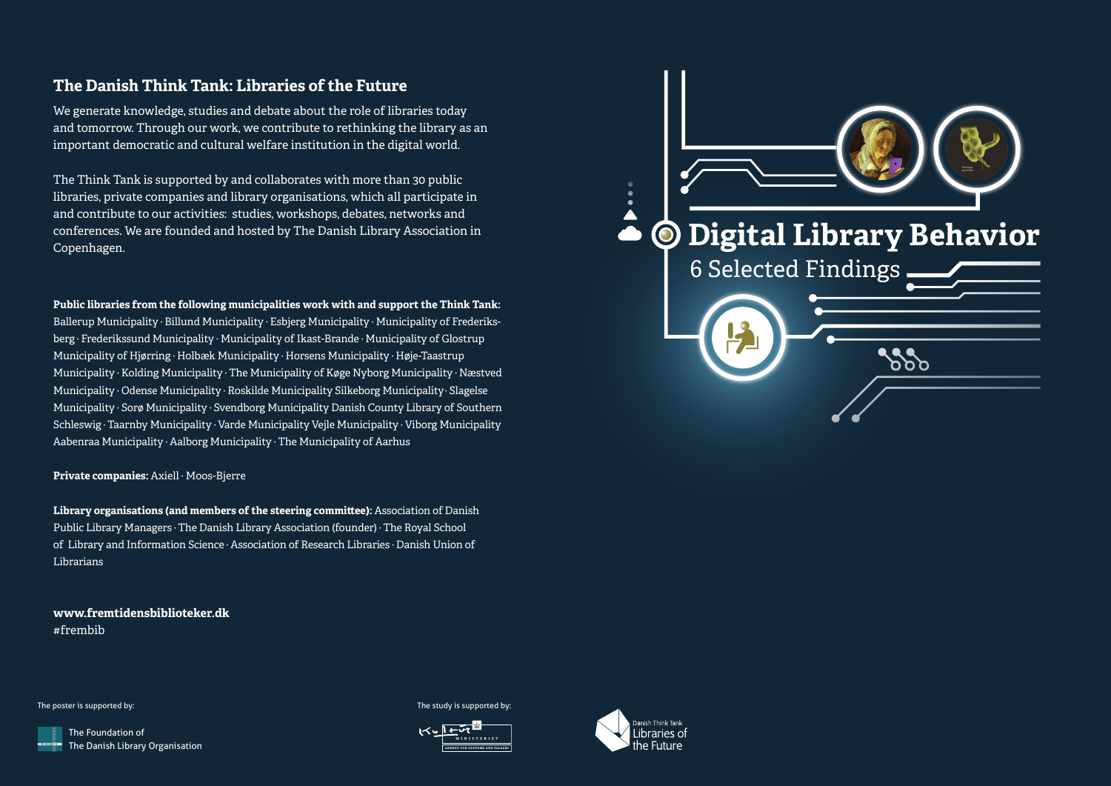## **The Danish Think Tank: Libraries of the Future**

We generate knowledge, studies and debate about the role of libraries today and tomorrow. Through our work, we contribute to rethinking the library as an important democratic and cultural welfare institution in the digital world.

The Think Tank is supported by and collaborates with more than 30 public libraries, private companies and library organisations, which all participate in and contribute to our activities: studies, workshops, debates, networks and conferences. We are founded and hosted by The Danish Library Association in Copenhagen.

**Public libraries from the following municipalities work with and support the Think Tank:**

Ballerup Municipality · Billund Municipality · Esbjerg Municipality · Municipality of Frederiksberg · Frederikssund Municipality · Municipality of Ikast-Brande · Municipality of Glostrup Municipality of Hjørring · Holbæk Municipality · Horsens Municipality · Høje-Taastrup Municipality · Kolding Municipality · The Municipality of Køge Nyborg Municipality · Næstved Municipality · Odense Municipality · Roskilde Municipality Silkeborg Municipality· Slagelse Municipality · Sorø Municipality · Svendborg Municipality Danish County Library of Southern Schleswig · Taarnby Municipality · Varde Municipality Vejle Municipality · Viborg Municipality Aabenraa Municipality · Aalborg Municipality · The Municipality of Aarhus

**Private companies:** Axiell · Moos-Bjerre

**Library organisations (and members of the steering committee):** Association of Danish Public Library Managers · The Danish Library Association (founder) · The Royal School of Library and Information Science · Association of Research Libraries · Danish Union of Librarians

**www.fremtidensbiblioteker.dk** #frembib



The poster is supported by: The study is supported by: The study is supported by: The study is supported by:

The Foundation of The Danish Library Organisation